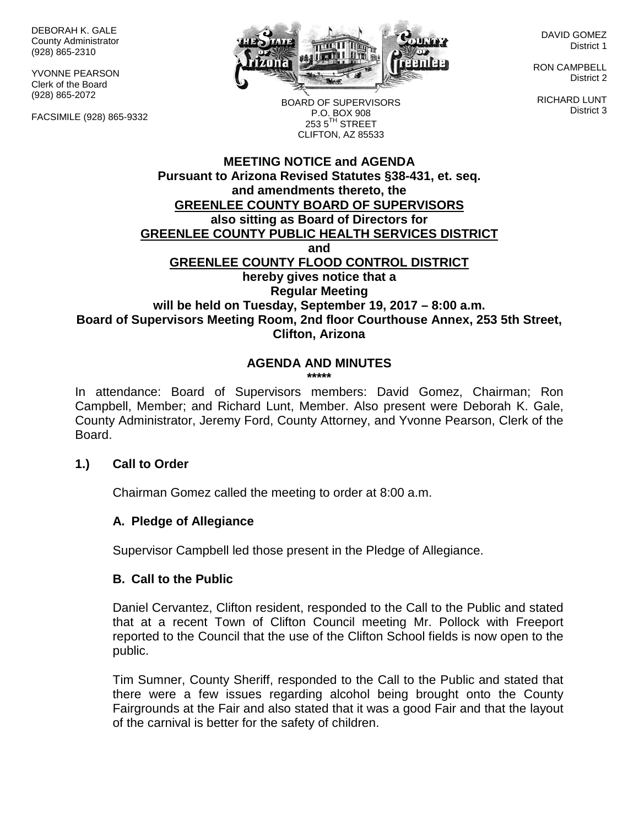DEBORAH K. GALE County Administrator (928) 865-2310

YVONNE PEARSON Clerk of the Board (928) 865-2072

FACSIMILE (928) 865-9332



DAVID GOMEZ District 1

RON CAMPBELL District 2

RICHARD LUNT District 3

BOARD OF SUPERVISORS P.O. BOX 908  $253.5$ <sup>TH</sup> STREET CLIFTON, AZ 85533

#### **MEETING NOTICE and AGENDA Pursuant to Arizona Revised Statutes §38-431, et. seq. and amendments thereto, the GREENLEE COUNTY BOARD OF SUPERVISORS also sitting as Board of Directors for GREENLEE COUNTY PUBLIC HEALTH SERVICES DISTRICT and GREENLEE COUNTY FLOOD CONTROL DISTRICT hereby gives notice that a Regular Meeting will be held on Tuesday, September 19, 2017 – 8:00 a.m. Board of Supervisors Meeting Room, 2nd floor Courthouse Annex, 253 5th Street, Clifton, Arizona**

# **AGENDA AND MINUTES**

**\*\*\*\*\***

In attendance: Board of Supervisors members: David Gomez, Chairman; Ron Campbell, Member; and Richard Lunt, Member. Also present were Deborah K. Gale, County Administrator, Jeremy Ford, County Attorney, and Yvonne Pearson, Clerk of the Board.

#### **1.) Call to Order**

Chairman Gomez called the meeting to order at 8:00 a.m.

#### **A. Pledge of Allegiance**

Supervisor Campbell led those present in the Pledge of Allegiance.

#### **B. Call to the Public**

Daniel Cervantez, Clifton resident, responded to the Call to the Public and stated that at a recent Town of Clifton Council meeting Mr. Pollock with Freeport reported to the Council that the use of the Clifton School fields is now open to the public.

Tim Sumner, County Sheriff, responded to the Call to the Public and stated that there were a few issues regarding alcohol being brought onto the County Fairgrounds at the Fair and also stated that it was a good Fair and that the layout of the carnival is better for the safety of children.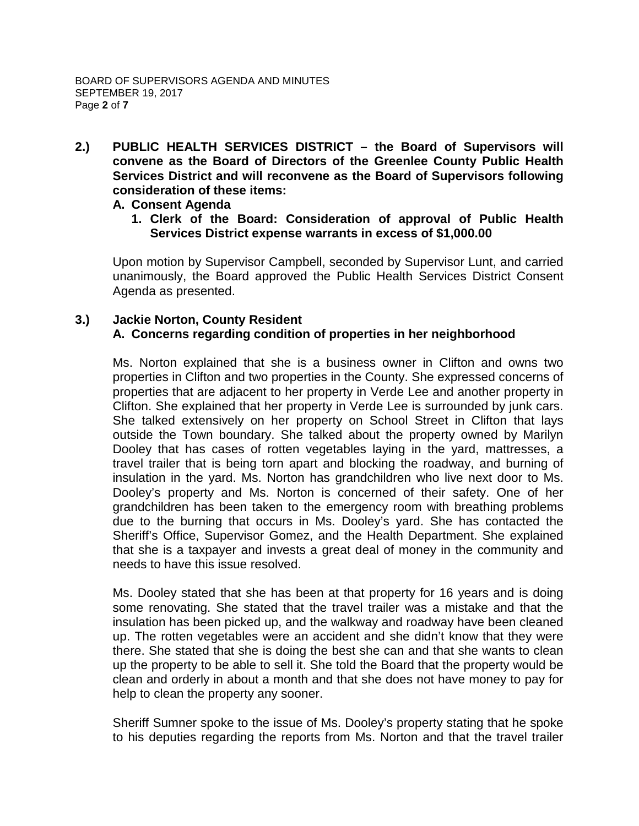**2.) PUBLIC HEALTH SERVICES DISTRICT – the Board of Supervisors will convene as the Board of Directors of the Greenlee County Public Health Services District and will reconvene as the Board of Supervisors following consideration of these items:**

#### **A. Consent Agenda**

**1. Clerk of the Board: Consideration of approval of Public Health Services District expense warrants in excess of \$1,000.00**

Upon motion by Supervisor Campbell, seconded by Supervisor Lunt, and carried unanimously, the Board approved the Public Health Services District Consent Agenda as presented.

## **3.) Jackie Norton, County Resident A. Concerns regarding condition of properties in her neighborhood**

Ms. Norton explained that she is a business owner in Clifton and owns two properties in Clifton and two properties in the County. She expressed concerns of properties that are adjacent to her property in Verde Lee and another property in Clifton. She explained that her property in Verde Lee is surrounded by junk cars. She talked extensively on her property on School Street in Clifton that lays outside the Town boundary. She talked about the property owned by Marilyn Dooley that has cases of rotten vegetables laying in the yard, mattresses, a travel trailer that is being torn apart and blocking the roadway, and burning of insulation in the yard. Ms. Norton has grandchildren who live next door to Ms. Dooley's property and Ms. Norton is concerned of their safety. One of her grandchildren has been taken to the emergency room with breathing problems due to the burning that occurs in Ms. Dooley's yard. She has contacted the Sheriff's Office, Supervisor Gomez, and the Health Department. She explained that she is a taxpayer and invests a great deal of money in the community and needs to have this issue resolved.

Ms. Dooley stated that she has been at that property for 16 years and is doing some renovating. She stated that the travel trailer was a mistake and that the insulation has been picked up, and the walkway and roadway have been cleaned up. The rotten vegetables were an accident and she didn't know that they were there. She stated that she is doing the best she can and that she wants to clean up the property to be able to sell it. She told the Board that the property would be clean and orderly in about a month and that she does not have money to pay for help to clean the property any sooner.

Sheriff Sumner spoke to the issue of Ms. Dooley's property stating that he spoke to his deputies regarding the reports from Ms. Norton and that the travel trailer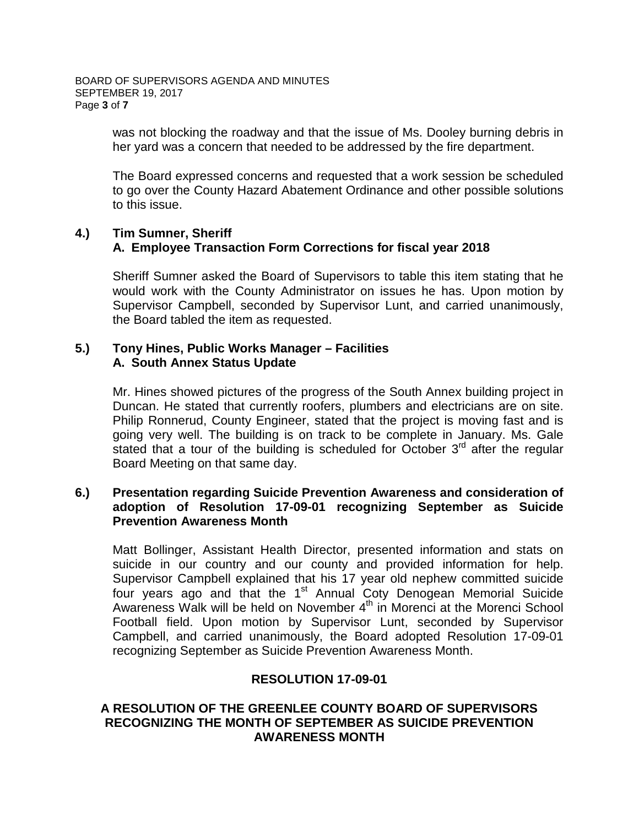was not blocking the roadway and that the issue of Ms. Dooley burning debris in her yard was a concern that needed to be addressed by the fire department.

The Board expressed concerns and requested that a work session be scheduled to go over the County Hazard Abatement Ordinance and other possible solutions to this issue.

#### **4.) Tim Sumner, Sheriff A. Employee Transaction Form Corrections for fiscal year 2018**

Sheriff Sumner asked the Board of Supervisors to table this item stating that he would work with the County Administrator on issues he has. Upon motion by Supervisor Campbell, seconded by Supervisor Lunt, and carried unanimously, the Board tabled the item as requested.

#### **5.) Tony Hines, Public Works Manager – Facilities A. South Annex Status Update**

Mr. Hines showed pictures of the progress of the South Annex building project in Duncan. He stated that currently roofers, plumbers and electricians are on site. Philip Ronnerud, County Engineer, stated that the project is moving fast and is going very well. The building is on track to be complete in January. Ms. Gale stated that a tour of the building is scheduled for October  $3<sup>rd</sup>$  after the regular Board Meeting on that same day.

#### **6.) Presentation regarding Suicide Prevention Awareness and consideration of adoption of Resolution 17-09-01 recognizing September as Suicide Prevention Awareness Month**

Matt Bollinger, Assistant Health Director, presented information and stats on suicide in our country and our county and provided information for help. Supervisor Campbell explained that his 17 year old nephew committed suicide four years ago and that the 1<sup>st</sup> Annual Coty Denogean Memorial Suicide Awareness Walk will be held on November  $4<sup>th</sup>$  in Morenci at the Morenci School Football field. Upon motion by Supervisor Lunt, seconded by Supervisor Campbell, and carried unanimously, the Board adopted Resolution 17-09-01 recognizing September as Suicide Prevention Awareness Month.

#### **RESOLUTION 17-09-01**

#### **A RESOLUTION OF THE GREENLEE COUNTY BOARD OF SUPERVISORS RECOGNIZING THE MONTH OF SEPTEMBER AS SUICIDE PREVENTION AWARENESS MONTH**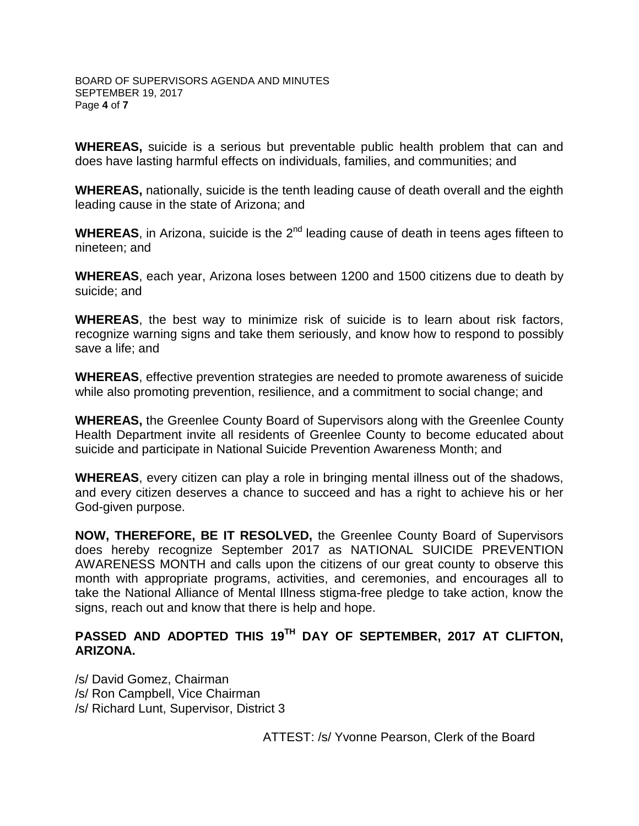**WHEREAS,** suicide is a serious but preventable public health problem that can and does have lasting harmful effects on individuals, families, and communities; and

**WHEREAS,** nationally, suicide is the tenth leading cause of death overall and the eighth leading cause in the state of Arizona; and

**WHEREAS**, in Arizona, suicide is the 2<sup>nd</sup> leading cause of death in teens ages fifteen to nineteen; and

**WHEREAS**, each year, Arizona loses between 1200 and 1500 citizens due to death by suicide; and

**WHEREAS**, the best way to minimize risk of suicide is to learn about risk factors, recognize warning signs and take them seriously, and know how to respond to possibly save a life; and

**WHEREAS**, effective prevention strategies are needed to promote awareness of suicide while also promoting prevention, resilience, and a commitment to social change; and

**WHEREAS,** the Greenlee County Board of Supervisors along with the Greenlee County Health Department invite all residents of Greenlee County to become educated about suicide and participate in National Suicide Prevention Awareness Month; and

**WHEREAS**, every citizen can play a role in bringing mental illness out of the shadows, and every citizen deserves a chance to succeed and has a right to achieve his or her God-given purpose.

**NOW, THEREFORE, BE IT RESOLVED,** the Greenlee County Board of Supervisors does hereby recognize September 2017 as NATIONAL SUICIDE PREVENTION AWARENESS MONTH and calls upon the citizens of our great county to observe this month with appropriate programs, activities, and ceremonies, and encourages all to take the National Alliance of Mental Illness stigma-free pledge to take action, know the signs, reach out and know that there is help and hope.

## **PASSED AND ADOPTED THIS 19TH DAY OF SEPTEMBER, 2017 AT CLIFTON, ARIZONA.**

/s/ David Gomez, Chairman /s/ Ron Campbell, Vice Chairman /s/ Richard Lunt, Supervisor, District 3

ATTEST: /s/ Yvonne Pearson, Clerk of the Board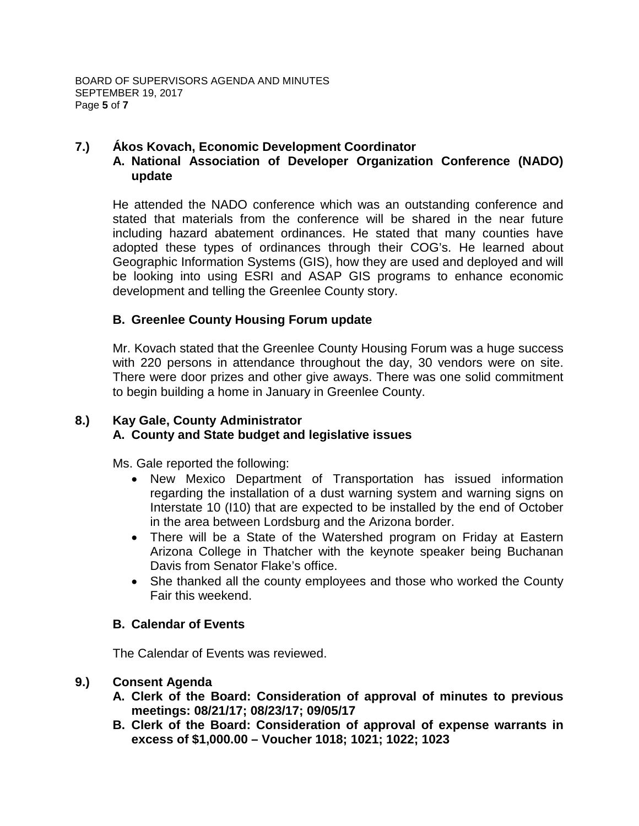## **7.) Ákos Kovach, Economic Development Coordinator**

### **A. National Association of Developer Organization Conference (NADO) update**

He attended the NADO conference which was an outstanding conference and stated that materials from the conference will be shared in the near future including hazard abatement ordinances. He stated that many counties have adopted these types of ordinances through their COG's. He learned about Geographic Information Systems (GIS), how they are used and deployed and will be looking into using ESRI and ASAP GIS programs to enhance economic development and telling the Greenlee County story.

#### **B. Greenlee County Housing Forum update**

Mr. Kovach stated that the Greenlee County Housing Forum was a huge success with 220 persons in attendance throughout the day, 30 vendors were on site. There were door prizes and other give aways. There was one solid commitment to begin building a home in January in Greenlee County.

#### **8.) Kay Gale, County Administrator A. County and State budget and legislative issues**

Ms. Gale reported the following:

- New Mexico Department of Transportation has issued information regarding the installation of a dust warning system and warning signs on Interstate 10 (I10) that are expected to be installed by the end of October in the area between Lordsburg and the Arizona border.
- There will be a State of the Watershed program on Friday at Eastern Arizona College in Thatcher with the keynote speaker being Buchanan Davis from Senator Flake's office.
- She thanked all the county employees and those who worked the County Fair this weekend.

#### **B. Calendar of Events**

The Calendar of Events was reviewed.

#### **9.) Consent Agenda**

- **A. Clerk of the Board: Consideration of approval of minutes to previous meetings: 08/21/17; 08/23/17; 09/05/17**
- **B. Clerk of the Board: Consideration of approval of expense warrants in excess of \$1,000.00 – Voucher 1018; 1021; 1022; 1023**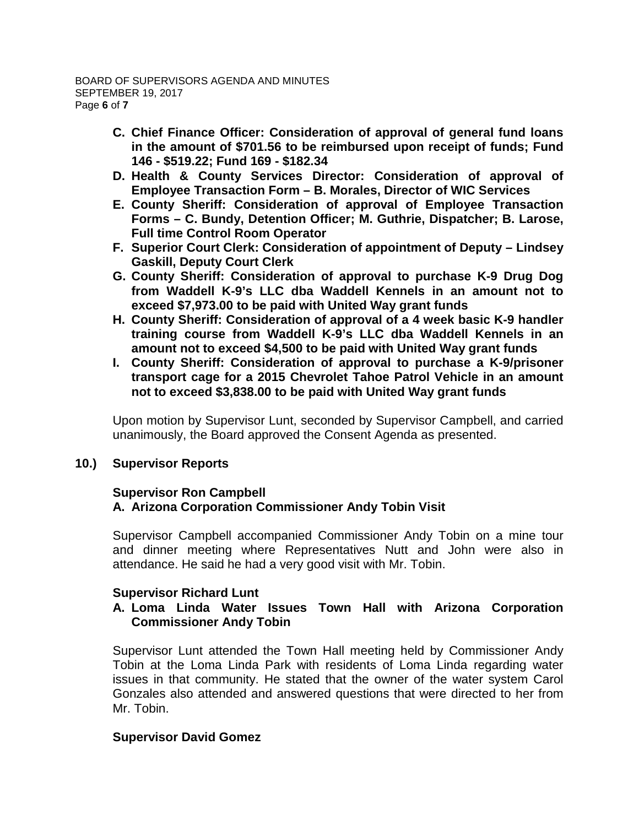- **C. Chief Finance Officer: Consideration of approval of general fund loans in the amount of \$701.56 to be reimbursed upon receipt of funds; Fund 146 - \$519.22; Fund 169 - \$182.34**
- **D. Health & County Services Director: Consideration of approval of Employee Transaction Form – B. Morales, Director of WIC Services**
- **E. County Sheriff: Consideration of approval of Employee Transaction Forms – C. Bundy, Detention Officer; M. Guthrie, Dispatcher; B. Larose, Full time Control Room Operator**
- **F. Superior Court Clerk: Consideration of appointment of Deputy – Lindsey Gaskill, Deputy Court Clerk**
- **G. County Sheriff: Consideration of approval to purchase K-9 Drug Dog from Waddell K-9's LLC dba Waddell Kennels in an amount not to exceed \$7,973.00 to be paid with United Way grant funds**
- **H. County Sheriff: Consideration of approval of a 4 week basic K-9 handler training course from Waddell K-9's LLC dba Waddell Kennels in an amount not to exceed \$4,500 to be paid with United Way grant funds**
- **I. County Sheriff: Consideration of approval to purchase a K-9/prisoner transport cage for a 2015 Chevrolet Tahoe Patrol Vehicle in an amount not to exceed \$3,838.00 to be paid with United Way grant funds**

Upon motion by Supervisor Lunt, seconded by Supervisor Campbell, and carried unanimously, the Board approved the Consent Agenda as presented.

#### **10.) Supervisor Reports**

#### **Supervisor Ron Campbell A. Arizona Corporation Commissioner Andy Tobin Visit**

Supervisor Campbell accompanied Commissioner Andy Tobin on a mine tour and dinner meeting where Representatives Nutt and John were also in attendance. He said he had a very good visit with Mr. Tobin.

#### **Supervisor Richard Lunt**

### **A. Loma Linda Water Issues Town Hall with Arizona Corporation Commissioner Andy Tobin**

Supervisor Lunt attended the Town Hall meeting held by Commissioner Andy Tobin at the Loma Linda Park with residents of Loma Linda regarding water issues in that community. He stated that the owner of the water system Carol Gonzales also attended and answered questions that were directed to her from Mr. Tobin.

## **Supervisor David Gomez**